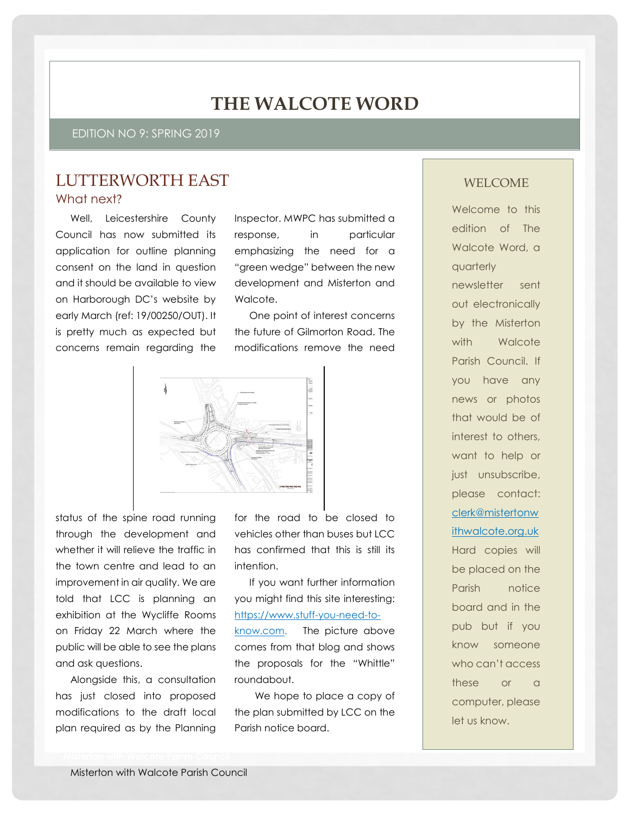# **THE WALCOTE WORD**

EDITION NO 9: SPRING 2019

### LUTTERWORTH EAST What next?

Well, Leicestershire County Council has now submitted its application for outline planning consent on the land in question and it should be available to view on Harborough DC's website by early March (ref: 19/00250/OUT). It is pretty much as expected but concerns remain regarding the

Inspector. MWPC has submitted a response, in particular emphasizing the need for a "green wedge" between the new development and Misterton and Walcote.

One point of interest concerns the future of Gilmorton Road. The modifications remove the need



status of the spine road running through the development and whether it will relieve the traffic in the town centre and lead to an improvement in air quality. We are told that LCC is planning an exhibition at the Wycliffe Rooms on Friday 22 March where the public will be able to see the plans and ask questions.

Alongside this, a consultation has just closed into proposed modifications to the draft local plan required as by the Planning

for the road to be closed to vehicles other than buses but LCC has confirmed that this is still its intention.

If you want further information you might find this site interesting: [https://www.stuff-you-need-to](https://www.stuff-you-need-to-know.com/)[know.com.](https://www.stuff-you-need-to-know.com/) The picture above comes from that blog and shows the proposals for the "Whittle" roundabout.

We hope to place a copy of the plan submitted by LCC on the Parish notice board.

#### WELCOME

Welcome to this edition of The Walcote Word, a quarterly newsletter sent out electronically by the Misterton with Walcote Parish Council. If you have any news or photos that would be of interest to others, want to help or just unsubscribe, please contact: [clerk@mistertonw](mailto:clerk@mistertonwithwalcote.org.uk) [ithwalcote.org.uk](mailto:clerk@mistertonwithwalcote.org.uk) Hard copies will be placed on the Parish notice board and in the pub but if you know someone who can't access these or a computer, please let us know.